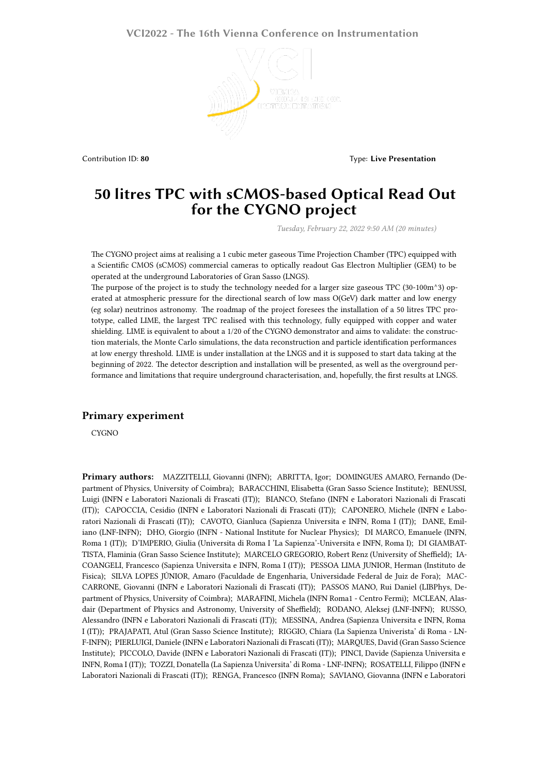## **VCI2022 - The 16th Vienna Conference on Instrumentation**



Contribution ID: 80 **Type:** Live Presentation **Contribution** ID: 80

## **50 litres TPC with sCMOS-based Optical Read Out for the CYGNO project**

*Tuesday, February 22, 2022 9:50 AM (20 minutes)*

The CYGNO project aims at realising a 1 cubic meter gaseous Time Projection Chamber (TPC) equipped with a Scientific CMOS (sCMOS) commercial cameras to optically readout Gas Electron Multiplier (GEM) to be operated at the underground Laboratories of Gran Sasso (LNGS).

The purpose of the project is to study the technology needed for a larger size gaseous TPC (30-100m $^{\wedge}$ 3) operated at atmospheric pressure for the directional search of low mass O(GeV) dark matter and low energy (eg solar) neutrinos astronomy. The roadmap of the project foresees the installation of a 50 litres TPC prototype, called LIME, the largest TPC realised with this technology, fully equipped with copper and water shielding. LIME is equivalent to about a 1/20 of the CYGNO demonstrator and aims to validate: the construction materials, the Monte Carlo simulations, the data reconstruction and particle identification performances at low energy threshold. LIME is under installation at the LNGS and it is supposed to start data taking at the beginning of 2022. The detector description and installation will be presented, as well as the overground performance and limitations that require underground characterisation, and, hopefully, the first results at LNGS.

## **Primary experiment**

CYGNO

**Primary authors:** MAZZITELLI, Giovanni (INFN); ABRITTA, Igor; DOMINGUES AMARO, Fernando (Department of Physics, University of Coimbra); BARACCHINI, Elisabetta (Gran Sasso Science Institute); BENUSSI, Luigi (INFN e Laboratori Nazionali di Frascati (IT)); BIANCO, Stefano (INFN e Laboratori Nazionali di Frascati (IT)); CAPOCCIA, Cesidio (INFN e Laboratori Nazionali di Frascati (IT)); CAPONERO, Michele (INFN e Laboratori Nazionali di Frascati (IT)); CAVOTO, Gianluca (Sapienza Universita e INFN, Roma I (IT)); DANE, Emiliano (LNF-INFN); DHO, Giorgio (INFN - National Institute for Nuclear Physics); DI MARCO, Emanuele (INFN, Roma 1 (IT)); D'IMPERIO, Giulia (Universita di Roma I 'La Sapienza'-Universita e INFN, Roma I); DI GIAMBAT-TISTA, Flaminia (Gran Sasso Science Institute); MARCELO GREGORIO, Robert Renz (University of Sheffield); IA-COANGELI, Francesco (Sapienza Universita e INFN, Roma I (IT)); PESSOA LIMA JUNIOR, Herman (Instituto de Fisica); SILVA LOPES JÚNIOR, Amaro (Faculdade de Engenharia, Universidade Federal de Juiz de Fora); MAC-CARRONE, Giovanni (INFN e Laboratori Nazionali di Frascati (IT)); PASSOS MANO, Rui Daniel (LIBPhys, Department of Physics, University of Coimbra); MARAFINI, Michela (INFN Roma1 - Centro Fermi); MCLEAN, Alasdair (Department of Physics and Astronomy, University of Sheffield); RODANO, Aleksej (LNF-INFN); RUSSO, Alessandro (INFN e Laboratori Nazionali di Frascati (IT)); MESSINA, Andrea (Sapienza Universita e INFN, Roma I (IT)); PRAJAPATI, Atul (Gran Sasso Science Institute); RIGGIO, Chiara (La Sapienza Univerista' di Roma - LN-F-INFN); PIERLUIGI, Daniele (INFN e Laboratori Nazionali di Frascati (IT)); MARQUES, David (Gran Sasso Science Institute); PICCOLO, Davide (INFN e Laboratori Nazionali di Frascati (IT)); PINCI, Davide (Sapienza Universita e INFN, Roma I (IT)); TOZZI, Donatella (La Sapienza Universita' di Roma - LNF-INFN); ROSATELLI, Filippo (INFN e Laboratori Nazionali di Frascati (IT)); RENGA, Francesco (INFN Roma); SAVIANO, Giovanna (INFN e Laboratori